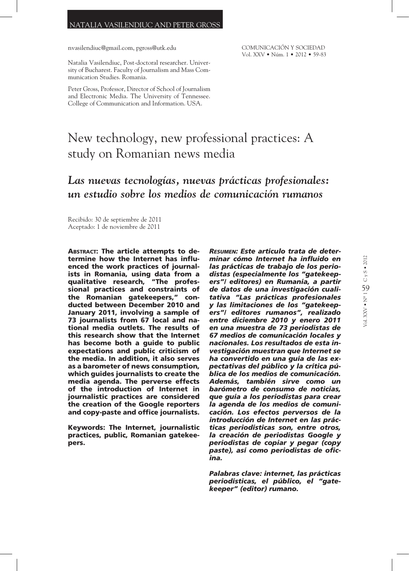#### NATALIA VASILENDIUC AND PETER GROSS

nvasilendiuc@gmail.com, pgross@utk.edu

COMUNICACIÓN Y SOCIEDAD Vol. XXV • Núm. 1 • 2012 • 59-83

Natalia Vasilendiuc, Post-doctoral researcher. University of Bucharest. Faculty of Journalism and Mass Communication Studies. Romania.

Peter Gross, Professor, Director of School of Journalism and Electronic Media. The University of Tennessee. College of Communication and Information. USA.

# New technology, new professional practices: A study on Romanian news media

## *Las nuevas tecnologías, nuevas prácticas profesionales: un estudio sobre los medios de comunicación rumanos*

Recibido: 30 de septiembre de 2011 Aceptado: 1 de noviembre de 2011

Abstract: The article attempts to determine how the Internet has influenced the work practices of journalists in Romania, using data from a qualitative research, "The professional practices and constraints of the Romanian gatekeepers," conducted between December 2010 and January 2011, involving a sample of 73 journalists from 67 local and national media outlets. The results of this research show that the Internet has become both a guide to public expectations and public criticism of the media. In addition, it also serves as a barometer of news consumption, which guides journalists to create the media agenda. The perverse effects of the introduction of Internet in journalistic practices are considered the creation of the Google reporters and copy-paste and office journalists.

Keywords: The Internet, journalistic practices, public, Romanian gatekeepers.

*Resumen: Este artículo trata de determinar cómo Internet ha influido en las prácticas de trabajo de los periodistas (especialmente los "gatekeepers"/ editores) en Rumanía, a partir de datos de una investigación cualitativa "Las prácticas profesionales y las limitaciones de los "gatekeepers"/ editores rumanos", realizado entre diciembre 2010 y enero 2011 en una muestra de 73 periodistas de 67 medios de comunicación locales y nacionales. Los resultados de esta investigación muestran que Internet se ha convertido en una guía de las expectativas del público y la crítica pública de los medios de comunicación. Además, también sirve como un barómetro de consumo de noticias, que guía a los periodistas para crear la agenda de los medios de comunicación. Los efectos perversos de la introducción de Internet en las prácticas periodísticas son, entre otros, la creación de periodistas Google y periodistas de copiar y pegar (copy paste), así como periodistas de oficina.*

*Palabras clave: internet, las prácticas periodísticas, el público, el "gatekeeper" (editor) rumano.*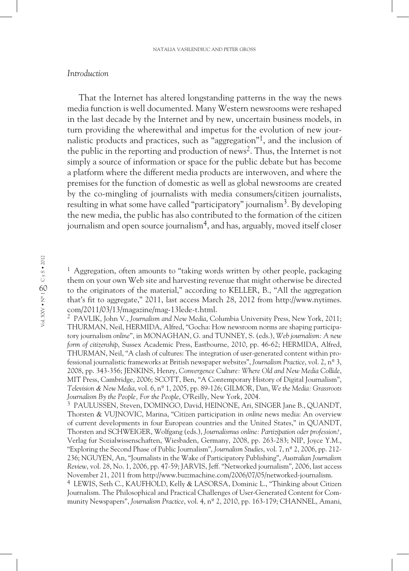#### *Introduction*

That the Internet has altered longstanding patterns in the way the news media function is well documented. Many Western newsrooms were reshaped in the last decade by the Internet and by new, uncertain business models, in turn providing the wherewithal and impetus for the evolution of new journalistic products and practices, such as "aggregation"1, and the inclusion of the public in the reporting and production of news2. Thus, the Internet is not simply a source of information or space for the public debate but has become a platform where the different media products are interwoven, and where the premises for the function of domestic as well as global newsrooms are created by the co-mingling of journalists with media consumers/citizen journalists, resulting in what some have called "participatory" journalism3. By developing the new media, the public has also contributed to the formation of the citizen journalism and open source journalism<sup>4</sup>, and has, arguably, moved itself closer

<sup>1</sup> Aggregation, often amounts to "taking words written by other people, packaging them on your own Web site and harvesting revenue that might otherwise be directed to the originators of the material," according to KELLER, B., "All the aggregation that's fit to aggregate," 2011, last access March 28, 2012 from http://www.nytimes. com/2011/03/13/magazine/mag-13lede-t.html.

<sup>3</sup> PAULUSSEN, Steven, DOMINGO, David, HEINONE, Ari, SINGER Jane B., QUANDT, Thorsten & VUJNOVIC, Marina, "Citizen participation in *online* news media: An overview of current developments in four European countries and the United States," in QUANDT, Thorsten and SCHWEIGER, Wolfgang (eds.), *Journalismus online: Partizipation oder profession?*, Verlag fur Sozialwissenschaften, Wiesbaden, Germany, 2008, pp. 263-283; NIP, Joyce Y.M., "Exploring the Second Phase of Public Journalism", *Journalism Studies*, vol. 7, nº 2, 2006, pp. 212- 236; NGUYEN, An, "Journalists in the Wake of Participatory Publishing", *Australian Journalism Review*, vol. 28, No. 1, 2006, pp. 47-59; JARVIS, Jeff. "Networked journalism", 2006, last access November 21, 2011 from http://www.buzzmachine.com/2006/07/05/networked-journalism.

<sup>4</sup> LEWIS, Seth C., KAUFHOLD, Kelly & LASORSA, Dominic L., "Thinking about Citizen Journalism. The Philosophical and Practical Challenges of User-Generated Content for Community Newspapers", *Journalism Practice*, vol. 4, nº 2, 2010, pp. 163-179; CHANNEL, Amani,

<sup>2</sup> PAVLIK, John V., *Journalism and New Media*, Columbia University Press, New York, 2011; THURMAN, Neil, HERMIDA, Alfred, "Gocha: How newsroom norms are shaping participatory journalism *online*", in MONAGHAN, G. and TUNNEY, S. (eds.), *Web journalism: A new form of citizenship*, Sussex Academic Press, Eastbourne, 2010, pp. 46-62; HERMIDA, Alfred, THURMAN, Neil, "A clash of cultures: The integration of user-generated content within professional journalistic frameworks at British newspaper websites", *Journalism Practice*, vol. 2, nº 3, 2008, pp. 343-356; JENKINS, Henry, *Convergence Culture: Where Old and New Media Collide*, MIT Press, Cambridge, 2006; SCOTT, Ben, "A Contemporary History of Digital Journalism", *Television & New Media*, vol. 6, nº 1, 2005, pp. 89-126; GILMOR, Dan, *We the Media: Grassroots Journalism By the People, For the People*, O'Reilly, New York, 2004.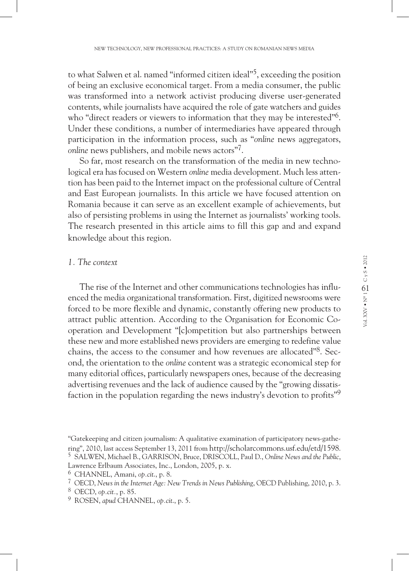to what Salwen et al. named "informed citizen ideal"<sup>5</sup>, exceeding the position of being an exclusive economical target. From a media consumer, the public was transformed into a network activist producing diverse user-generated contents, while journalists have acquired the role of gate watchers and guides who "direct readers or viewers to information that they may be interested"<sup>6</sup>. Under these conditions, a number of intermediaries have appeared through participation in the information process, such as "*online* news aggregators, *online* news publishers, and mobile news actors"<sup>7</sup>.

So far, most research on the transformation of the media in new technological era has focused on Western *online* media development. Much less attention has been paid to the Internet impact on the professional culture of Central and East European journalists. In this article we have focused attention on Romania because it can serve as an excellent example of achievements, but also of persisting problems in using the Internet as journalists' working tools. The research presented in this article aims to fill this gap and and expand knowledge about this region.

#### *1. The context*

The rise of the Internet and other communications technologies has influenced the media organizational transformation. First, digitized newsrooms were forced to be more flexible and dynamic, constantly offering new products to attract public attention. According to the Organisation for Economic Cooperation and Development "[c]ompetition but also partnerships between these new and more established news providers are emerging to redefine value chains, the access to the consumer and how revenues are allocated<sup>38</sup>. Second, the orientation to the *online* content was a strategic economical step for many editorial offices, particularly newspapers ones, because of the decreasing advertising revenues and the lack of audience caused by the "growing dissatisfaction in the population regarding the news industry's devotion to profits"<sup>9</sup>

<sup>&</sup>quot;Gatekeeping and citizen journalism: A qualitative examination of participatory news-gathering", 2010, last access September 13, 2011 from http://scholarcommons.usf.edu/etd/1598. <sup>5</sup> SALWEN, Michael B., GARRISON, Bruce, DRISCOLL, Paul D., *Online News and the Public*, Lawrence Erlbaum Associates, Inc., London, 2005, p. x.

<sup>6</sup> CHANNEL, Amani, *op.cit*., p. 8.

<sup>7</sup> OECD, *News in the Internet Age: New Trends in News Publishing*, OECD Publishing, 2010, p. 3.

<sup>8</sup> OECD, *op.cit.*, p. 85.

<sup>9</sup> ROSEN, *apud* CHANNEL, *op.cit*., p. 5.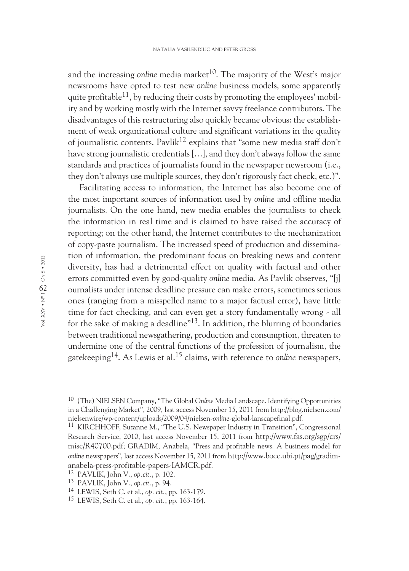and the increasing *online* media market<sup>10</sup>. The majority of the West's major newsrooms have opted to test new *online* business models, some apparently quite profitable<sup>11</sup>, by reducing their costs by promoting the employees' mobility and by working mostly with the Internet savvy freelance contributors. The disadvantages of this restructuring also quickly became obvious: the establishment of weak organizational culture and significant variations in the quality of iournalistic contents. Pavlik<sup>12</sup> explains that "some new media staff don't have strong journalistic credentials […], and they don't always follow the same standards and practices of journalists found in the newspaper newsroom (i.e., they don't always use multiple sources, they don't rigorously fact check, etc.)".

Facilitating access to information, the Internet has also become one of the most important sources of information used by *online* and offline media journalists. On the one hand, new media enables the journalists to check the information in real time and is claimed to have raised the accuracy of reporting; on the other hand, the Internet contributes to the mechanization of copy-paste journalism. The increased speed of production and dissemination of information, the predominant focus on breaking news and content diversity, has had a detrimental effect on quality with factual and other errors committed even by good-quality *online* media. As Pavlik observes, "[j] ournalists under intense deadline pressure can make errors, sometimes serious ones (ranging from a misspelled name to a major factual error), have little time for fact checking, and can even get a story fundamentally wrong - all for the sake of making a deadline<sup>"13</sup>. In addition, the blurring of boundaries between traditional newsgathering, production and consumption, threaten to undermine one of the central functions of the profession of journalism, the gatekeeping14. As Lewis et al.15 claims, with reference to *online* newspapers,

<sup>10</sup> (The) NIELSEN Company, "The Global *Online* Media Landscape. Identifying Opportunities in a Challenging Market", 2009, last access November 15, 2011 from http://blog.nielsen.com/ nielsenwire/wp-content/uploads/2009/04/nielsen-*online*-global-lanscapefinal.pdf.

<sup>11</sup> KIRCHHOFF, Suzanne M., "The U.S. Newspaper Industry in Transition", Congressional Research Service, 2010, last access November 15, 2011 from http://www.fas.org/sgp/crs/ misc/R40700.pdf; GRADIM, Anabela, "Press and profitable news. A business model for *online* newspapers", last access November 15, 2011 from http://www.bocc.ubi.pt/pag/gradimanabela-press-profitable-papers-IAMCR.pdf. 12 PAVLIK, John V., *op.cit.*, p. 102.

<sup>13</sup> PAVLIK, John V., *op.cit.*, p. 94.

<sup>14</sup> LEWIS, Seth C. et al., *op. cit.*, pp. 163-179.

<sup>15</sup> LEWIS, Seth C. et al., *op. cit.*, pp. 163-164.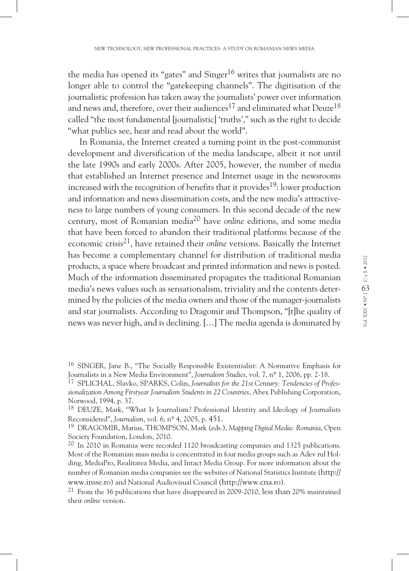the media has opened its "gates" and  $Singer^{16}$  writes that journalists are no longer able to control the "gatekeeping channels". The digitisation of the journalistic profession has taken away the journalists' power over information and news and, therefore, over their audiences<sup>17</sup> and eliminated what Deuze<sup>18</sup> called "the most fundamental [journalistic] 'truths'," such as the right to decide "what publics see, hear and read about the world".

In Romania, the Internet created a turning point in the post-communist development and diversification of the media landscape, albeit it not until the late 1990s and early 2000s. After 2005, however, the number of media that established an Internet presence and Internet usage in the newsrooms increased with the recognition of benefits that it provides<sup>19</sup>: lower production and information and news dissemination costs, and the new media's attractiveness to large numbers of young consumers. In this second decade of the new century, most of Romanian media20 have *online* editions, and some media that have been forced to abandon their traditional platforms because of the economic crisis21, have retained their *online* versions. Basically the Internet has become a complementary channel for distribution of traditional media products, a space where broadcast and printed information and news is posted. Much of the information disseminated propagates the traditional Romanian media's news values such as sensationalism, triviality and the contents determined by the policies of the media owners and those of the manager-journalists and star journalists. According to Dragomir and Thompson, "[t]he quality of news was never high, and is declining. […] The media agenda is dominated by

<sup>16</sup> SINGER, Jane B., "The Socially Responsible Existentialist: A Normative Emphasis for Journalists in a New Media Environment", *Journalism Studies*, vol. 7, nº 1, 2006, pp. 2-18.

<sup>17</sup> SPLICHAL, Slavko, SPARKS, Colin, *Journalists for the 21st Century: Tendencies of Professionalization Among Firstyear Journalism Students in 22 Countries*, Abex Publishing Corporation, Norwood, 1994, p. 37.

<sup>18</sup> DEUZE, Mark, "What Is Journalism? Professional Identity and Ideology of Journalists Reconsidered", *Journalism*, vol. 6, nº 4, 2005, p. 451.

<sup>19</sup> DRAGOMIR, Marius, THOMPSON, Mark (eds.), *Mapping Digital Media: Romania*, Open Society Foundation, London, 2010.

<sup>&</sup>lt;sup>20</sup> In 2010 in Romania were recorded 1120 broadcasting companies and 1325 publications. Most of the Romanian mass media is concentrated in four media groups such as Adev rul Holding, MediaPro, Realitatea Media, and Intact Media Group. For more information about the number of Romanian media companies see the websites of National Statistics Institute (http:// www.insse.ro) and National Audiovisual Council (http://www.cna.ro).

<sup>&</sup>lt;sup>21</sup> From the 36 publications that have disappeared in 2009-2010, less than 20% maintained their *online* version.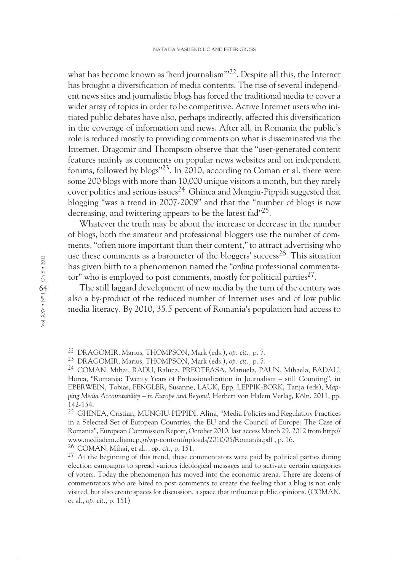what has become known as 'herd journalism'"<sup>22</sup>. Despite all this, the Internet has brought a diversification of media contents. The rise of several independent news sites and journalistic blogs has forced the traditional media to cover a wider array of topics in order to be competitive. Active Internet users who initiated public debates have also, perhaps indirectly, affected this diversification in the coverage of information and news. After all, in Romania the public's role is reduced mostly to providing comments on what is disseminated via the Internet. Dragomir and Thompson observe that the "user-generated content features mainly as comments on popular news websites and on independent forums, followed by blogs"23. In 2010, according to Coman et al. there were some 200 blogs with more than 10,000 unique visitors a month, but they rarely cover politics and serious issues<sup>24</sup>. Ghinea and Mungiu-Pippidi suggested that blogging "was a trend in 2007-2009" and that the "number of blogs is now decreasing, and twittering appears to be the latest fad"<sup>25</sup>.

Whatever the truth may be about the increase or decrease in the number of blogs, both the amateur and professional bloggers use the number of comments, "often more important than their content,"to attract advertising who use these comments as a barometer of the bloggers' success<sup>26</sup>. This situation has given birth to a phenomenon named the "*online* professional commentator" who is employed to post comments, mostly for political parties<sup>27</sup>.

The still laggard development of new media by the turn of the century was also a by-product of the reduced number of Internet uses and of low public media literacy. By 2010, 35.5 percent of Romania's population had access to

<sup>26</sup> COMAN, Mihai, et al.*.*, *op. cit*., p. 151.

<sup>22</sup> DRAGOMIR, Marius, THOMPSON, Mark (eds.), *op. cit.,* p. 7.

<sup>23</sup> DRAGOMIR, Marius, THOMPSON, Mark (eds.), *op. cit.,* p. 7.

<sup>24</sup> COMAN, Mihai, RADU, Raluca, PREOTEASA, Manuela, PAUN, Mihaela, BADAU, Horea, "Romania: Twenty Years of Professionalization in Journalism – still Counting", in EBERWEIN, Tobias, FENGLER, Susanne, LAUK, Epp, LEPPIK-BORK, Tanja (eds), *Mapping Media Accountability – in Europe and Beyond*, Herbert von Halem Verlag, Köln, 2011, pp. 142-154.

<sup>25</sup> GHINEA, Cristian, MUNGIU-PIPPIDI, Alina, "Media Policies and Regulatory Practices in a Selected Set of European Countries, the EU and the Council of Europe: The Case of Romania", European Commission Report, October 2010, last access March 29, 2012 from http:// www.mediadem.eliamep.gr/wp-content/uploads/2010/05/Romania.pdf , p. 16.

 $27$  At the beginning of this trend, these commentators were paid by political parties during election campaigns to spread various ideological messages and to activate certain categories of voters. Today the phenomenon has moved into the economic arena. There are dozens of commentators who are hired to post comments to create the feeling that a blog is not only visited, but also create spaces for discussion, a space that influence public opinions. (COMAN, et al., *op. cit.*, p. 151)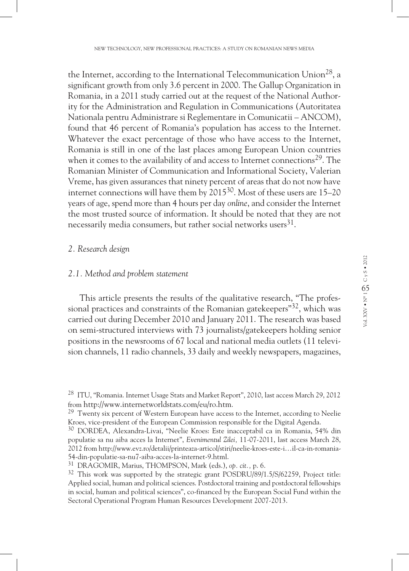the Internet, according to the International Telecommunication Union<sup>28</sup>, a significant growth from only 3.6 percent in 2000. The Gallup Organization in Romania, in a 2011 study carried out at the request of the National Authority for the Administration and Regulation in Communications (Autoritatea Nationala pentru Administrare si Reglementare in Comunicatii – ANCOM), found that 46 percent of Romania's population has access to the Internet. Whatever the exact percentage of those who have access to the Internet, Romania is still in one of the last places among European Union countries when it comes to the availability of and access to Internet connections<sup>29</sup>. The Romanian Minister of Communication and Informational Society, Valerian Vreme, has given assurances that ninety percent of areas that do not now have internet connections will have them by  $2015^{30}$ . Most of these users are 15–20 years of age, spend more than 4 hours per day *online*, and consider the Internet the most trusted source of information. It should be noted that they are not necessarily media consumers, but rather social networks users $^{31}$ .

#### *2. Research design*

#### *2.1. Method and problem statement*

This article presents the results of the qualitative research, "The professional practices and constraints of the Romanian gate keepers<sup>"32</sup>, which was carried out during December 2010 and January 2011. The research was based on semi-structured interviews with 73 journalists/gatekeepers holding senior positions in the newsrooms of 67 local and national media outlets (11 television channels, 11 radio channels, 33 daily and weekly newspapers, magazines,

<sup>28</sup> ITU, "Romania. Internet Usage Stats and Market Report", 2010, last access March 29, 2012 from http://www.internetworldstats.com/eu/ro.htm.

<sup>&</sup>lt;sup>29</sup> Twenty six percent of Western European have access to the Internet, according to Neelie Kroes, vice-president of the European Commission responsible for the Digital Agenda.

<sup>30</sup> DORDEA, Alexandra-Livai, "Neelie Kroes: Este inacceptabil ca in Romania, 54% din populatie sa nu aiba acces la Internet", *Evenimentul Zilei,* 11-07-2011, last access March 28, 2012 from http://www.evz.ro/detalii/printeaza-articol/stiri/neelie-kroes-este-i…il-ca-in-romania-54-din-populatie-sa-nu7-aiba-acces-la-internet-9.html.

<sup>31</sup> DRAGOMIR, Marius, THOMPSON, Mark (eds.), *op. cit.,* p. 6.

 $32$  This work was supported by the strategic grant POSDRU/89/1.5/S/62259, Project title: Applied social, human and political sciences. Postdoctoral training and postdoctoral fellowships in social, human and political sciences", co-financed by the European Social Fund within the Sectoral Operational Program Human Resources Development 2007-2013.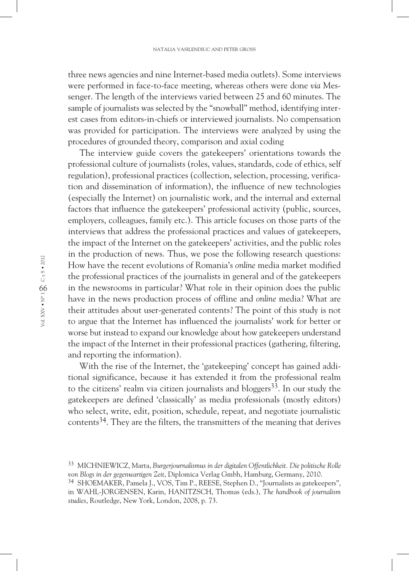three news agencies and nine Internet-based media outlets). Some interviews were performed in face-to-face meeting, whereas others were done *via* Messenger. The length of the interviews varied between 25 and 60 minutes. The sample of journalists was selected by the "snowball" method, identifying interest cases from editors-in-chiefs or interviewed journalists. No compensation was provided for participation. The interviews were analyzed by using the procedures of grounded theory, comparison and axial coding

The interview guide covers the gatekeepers' orientations towards the professional culture of journalists (roles, values, standards, code of ethics, self regulation), professional practices (collection, selection, processing, verification and dissemination of information), the influence of new technologies (especially the Internet) on journalistic work, and the internal and external factors that influence the gatekeepers' professional activity (public, sources, employers, colleagues, family etc.). This article focuses on those parts of the interviews that address the professional practices and values of gatekeepers, the impact of the Internet on the gatekeepers' activities, and the public roles in the production of news. Thus, we pose the following research questions: How have the recent evolutions of Romania's *online* media market modified the professional practices of the journalists in general and of the gatekeepers in the newsrooms in particular? What role in their opinion does the public have in the news production process of offline and *online* media? What are their attitudes about user-generated contents? The point of this study is not to argue that the Internet has influenced the journalists' work for better or worse but instead to expand our knowledge about how gatekeepers understand the impact of the Internet in their professional practices (gathering, filtering, and reporting the information).

With the rise of the Internet, the 'gatekeeping' concept has gained additional significance, because it has extended it from the professional realm to the citizens' realm via citizen journalists and bloggers<sup>33</sup>. In our study the gatekeepers are defined 'classically' as media professionals (mostly editors) who select, write, edit, position, schedule, repeat, and negotiate journalistic contents34. They are the filters, the transmitters of the meaning that derives

<sup>33</sup> MICHNIEWICZ, Marta, *Burgerjournalismus in der digitalen Offentlichkeit. Die politische Rolle von Blogs in der gegenwartigen Zeit*, Diplomica Verlag Gmbh, Hamburg, Germany, 2010.

<sup>&</sup>lt;sup>34</sup> SHOEMAKER, Pamela J., VOS, Tim P., REESE, Stephen D., "Journalists as gatekeepers", in WAHL-JORGENSEN, Karin, HANITZSCH, Thomas (eds.), *The handbook of journalism studies*, Routledge, New York, London, 2008, p. 73.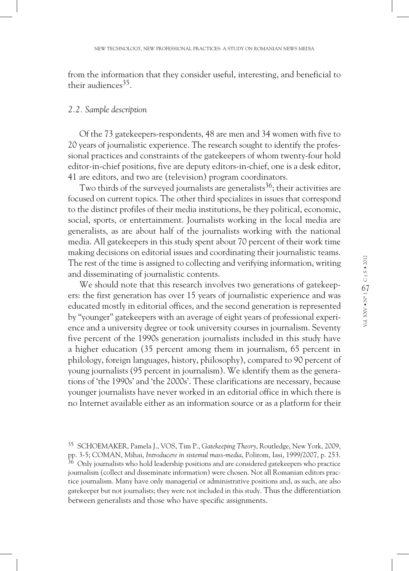from the information that they consider useful, interesting, and beneficial to their audiences $35$ .

#### *2.2. Sample description*

Of the 73 gatekeepers-respondents, 48 are men and 34 women with five to 20 years of journalistic experience. The research sought to identify the professional practices and constraints of the gatekeepers of whom twenty-four hold editor-in-chief positions, five are deputy editors-in-chief, one is a desk editor, 41 are editors, and two are (television) program coordinators.

Two thirds of the surveyed journalists are generalists<sup>36</sup>; their activities are focused on current topics. The other third specializes in issues that correspond to the distinct profiles of their media institutions, be they political, economic, social, sports, or entertainment. Journalists working in the local media are generalists, as are about half of the journalists working with the national media. All gatekeepers in this study spent about 70 percent of their work time making decisions on editorial issues and coordinating their journalistic teams. The rest of the time is assigned to collecting and verifying information, writing and disseminating of journalistic contents.

We should note that this research involves two generations of gatekeepers: the first generation has over 15 years of journalistic experience and was educated mostly in editorial offices, and the second generation is represented by "younger" gatekeepers with an average of eight years of professional experience and a university degree or took university courses in journalism. Seventy five percent of the 1990s generation journalists included in this study have a higher education (35 percent among them in journalism, 65 percent in philology, foreign languages, history, philosophy), compared to 90 percent of young journalists (95 percent in journalism). We identify them as the generations of 'the 1990s' and 'the 2000s'. These clarifications are necessary, because younger journalists have never worked in an editorial office in which there is no Internet available either as an information source or as a platform for their

<sup>35</sup> SCHOEMAKER, Pamela J., VOS, Tim P., *Gatekeeping Theory*, Routledge, New York, 2009, pp. 3-5; COMAN, Mihai, *Introducere in sistemul mass-media*, Polirom, Iasi, 1999/2007, p. 253.  $36$  Only journalists who hold leadership positions and are considered gatekeepers who practice journalism (collect and disseminate information) were chosen. Not all Romanian editors practice journalism. Many have only managerial or administrative positions and, as such, are also gatekeeper but not journalists; they were not included in this study. Thus the differentiation between generalists and those who have specific assignments.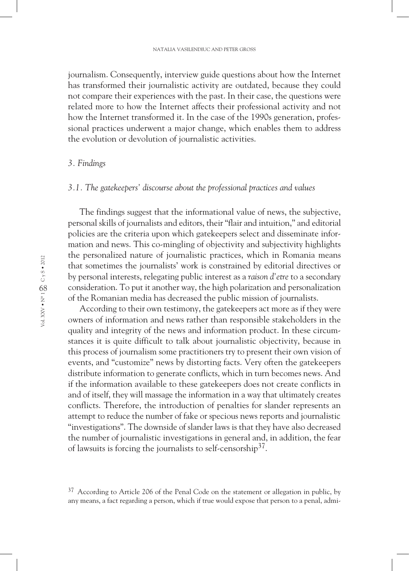journalism. Consequently, interview guide questions about how the Internet has transformed their journalistic activity are outdated, because they could not compare their experiences with the past. In their case, the questions were related more to how the Internet affects their professional activity and not how the Internet transformed it. In the case of the 1990s generation, professional practices underwent a major change, which enables them to address the evolution or devolution of journalistic activities.

#### *3. Findings*

### *3.1. The gatekeepers' discourse about the professional practices and values*

The findings suggest that the informational value of news, the subjective, personal skills of journalists and editors, their "flair and intuition," and editorial policies are the criteria upon which gatekeepers select and disseminate information and news. This co-mingling of objectivity and subjectivity highlights the personalized nature of journalistic practices, which in Romania means that sometimes the journalists' work is constrained by editorial directives or by personal interests, relegating public interest as a *raison d'etre* to a secondary consideration. To put it another way, the high polarization and personalization of the Romanian media has decreased the public mission of journalists.

According to their own testimony, the gatekeepers act more as if they were owners of information and news rather than responsible stakeholders in the quality and integrity of the news and information product. In these circumstances it is quite difficult to talk about journalistic objectivity, because in this process of journalism some practitioners try to present their own vision of events, and "customize" news by distorting facts. Very often the gatekeepers distribute information to generate conflicts, which in turn becomes news. And if the information available to these gatekeepers does not create conflicts in and of itself, they will massage the information in a way that ultimately creates conflicts. Therefore, the introduction of penalties for slander represents an attempt to reduce the number of fake or specious news reports and journalistic "investigations". The downside of slander laws is that they have also decreased the number of journalistic investigations in general and, in addition, the fear of lawsuits is forcing the journalists to self-censorship<sup>37</sup>.

<sup>&</sup>lt;sup>37</sup> According to Article 206 of the Penal Code on the statement or allegation in public, by any means, a fact regarding a person, which if true would expose that person to a penal, admi-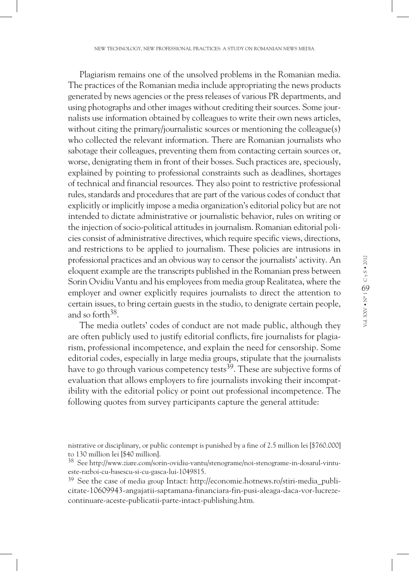Plagiarism remains one of the unsolved problems in the Romanian media. The practices of the Romanian media include appropriating the news products generated by news agencies or the press releases of various PR departments, and using photographs and other images without crediting their sources. Some journalists use information obtained by colleagues to write their own news articles, without citing the primary/journalistic sources or mentioning the colleague(s) who collected the relevant information. There are Romanian journalists who sabotage their colleagues, preventing them from contacting certain sources or, worse, denigrating them in front of their bosses. Such practices are, speciously, explained by pointing to professional constraints such as deadlines, shortages of technical and financial resources. They also point to restrictive professional rules, standards and procedures that are part of the various codes of conduct that explicitly or implicitly impose a media organization's editorial policy but are not intended to dictate administrative or journalistic behavior, rules on writing or the injection of socio-political attitudes in journalism. Romanian editorial policies consist of administrative directives, which require specific views, directions, and restrictions to be applied to journalism. These policies are intrusions in professional practices and an obvious way to censor the journalists' activity. An eloquent example are the transcripts published in the Romanian press between Sorin Ovidiu Vantu and his employees from media group Realitatea, where the employer and owner explicitly requires journalists to direct the attention to certain issues, to bring certain guests in the studio, to denigrate certain people, and so forth<sup>38</sup>.

The media outlets' codes of conduct are not made public, although they are often publicly used to justify editorial conflicts, fire journalists for plagiarism, professional incompetence, and explain the need for censorship. Some editorial codes, especially in large media groups, stipulate that the journalists have to go through various competency tests<sup>39</sup>. These are subjective forms of evaluation that allows employers to fire journalists invoking their incompatibility with the editorial policy or point out professional incompetence. The following quotes from survey participants capture the general attitude:

nistrative or disciplinary, or public contempt is punished by a fine of 2.5 million lei [\$760.000] to 130 million lei [\$40 million].

<sup>38</sup> See http://www.ziare.com/sorin-ovidiu-vantu/stenograme/noi-stenograme-in-dosarul-vintueste-razboi-cu-basescu-si-cu-gasca-lui-1049815.

 $39$  See the case of media group Intact: http://economie.hotnews.ro/stiri-media\_publicitate-10609943-angajatii-saptamana-financiara-fin-pusi-aleaga-daca-vor-lucrezecontinuare-aceste-publicatii-parte-intact-publishing.htm.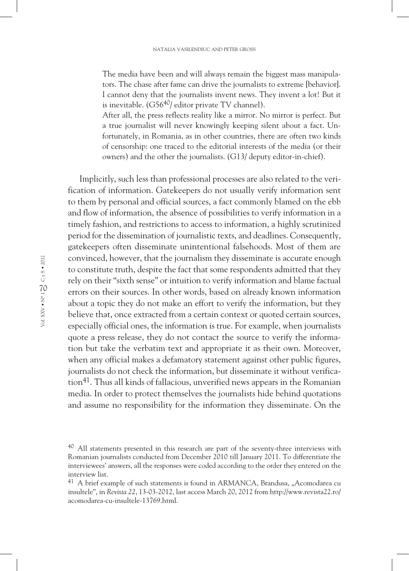The media have been and will always remain the biggest mass manipulators. The chase after fame can drive the journalists to extreme [behavior]. I cannot deny that the journalists invent news. They invent a lot! But it is inevitable.  $(G56^{40}/$  editor private TV channel).

After all, the press reflects reality like a mirror. No mirror is perfect. But a true journalist will never knowingly keeping silent about a fact. Unfortunately, in Romania, as in other countries, there are often two kinds of censorship: one traced to the editorial interests of the media (or their owners) and the other the journalists. (G13/ deputy editor-in-chief).

Implicitly, such less than professional processes are also related to the verification of information. Gatekeepers do not usually verify information sent to them by personal and official sources, a fact commonly blamed on the ebb and flow of information, the absence of possibilities to verify information in a timely fashion, and restrictions to access to information, a highly scrutinized period for the dissemination of journalistic texts, and deadlines. Consequently, gatekeepers often disseminate unintentional falsehoods. Most of them are convinced, however, that the journalism they disseminate is accurate enough to constitute truth, despite the fact that some respondents admitted that they rely on their "sixth sense" or intuition to verify information and blame factual errors on their sources. In other words, based on already known information about a topic they do not make an effort to verify the information, but they believe that, once extracted from a certain context or quoted certain sources, especially official ones, the information is true. For example, when journalists quote a press release, they do not contact the source to verify the information but take the verbatim text and appropriate it as their own. Moreover, when any official makes a defamatory statement against other public figures, journalists do not check the information, but disseminate it without verifica- $\mu$ <sub>1</sub>. Thus all kinds of fallacious, unverified news appears in the Romanian media. In order to protect themselves the journalists hide behind quotations and assume no responsibility for the information they disseminate. On the

 $40$  All statements presented in this research are part of the seventy-three interviews with Romanian journalists conducted from December 2010 till January 2011. To differentiate the interviewees' answers, all the responses were coded according to the order they entered on the interview list.

 $41$  A brief example of such statements is found in ARMANCA, Brandusa, "Acomodarea cu insultele", in *Revista 22*, 13-03-2012, last access March 20, 2012 from http://www.revista22.ro/ acomodarea-cu-insultele-13769.html.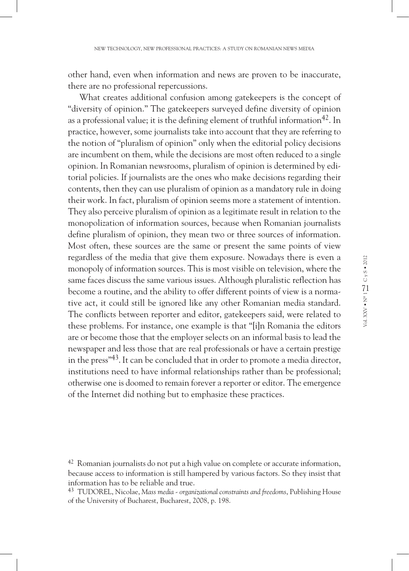other hand, even when information and news are proven to be inaccurate, there are no professional repercussions.

What creates additional confusion among gatekeepers is the concept of "diversity of opinion." The gatekeepers surveyed define diversity of opinion as a professional value; it is the defining element of truthful information<sup>42</sup>. In practice, however, some journalists take into account that they are referring to the notion of "pluralism of opinion" only when the editorial policy decisions are incumbent on them, while the decisions are most often reduced to a single opinion. In Romanian newsrooms, pluralism of opinion is determined by editorial policies. If journalists are the ones who make decisions regarding their contents, then they can use pluralism of opinion as a mandatory rule in doing their work. In fact, pluralism of opinion seems more a statement of intention. They also perceive pluralism of opinion as a legitimate result in relation to the monopolization of information sources, because when Romanian journalists define pluralism of opinion, they mean two or three sources of information. Most often, these sources are the same or present the same points of view regardless of the media that give them exposure. Nowadays there is even a monopoly of information sources. This is most visible on television, where the same faces discuss the same various issues. Although pluralistic reflection has become a routine, and the ability to offer different points of view is a normative act, it could still be ignored like any other Romanian media standard. The conflicts between reporter and editor, gatekeepers said, were related to these problems. For instance, one example is that "[i]n Romania the editors are or become those that the employer selects on an informal basis to lead the newspaper and less those that are real professionals or have a certain prestige in the press<sup> $43$ </sup>. It can be concluded that in order to promote a media director, institutions need to have informal relationships rather than be professional; otherwise one is doomed to remain forever a reporter or editor. The emergence of the Internet did nothing but to emphasize these practices.

<sup>&</sup>lt;sup>42</sup> Romanian journalists do not put a high value on complete or accurate information, because access to information is still hampered by various factors. So they insist that information has to be reliable and true.

<sup>43</sup> TUDOREL, Nicolae, *Mass media - organizational constraints and freedoms*, Publishing House of the University of Bucharest, Bucharest, 2008, p. 198.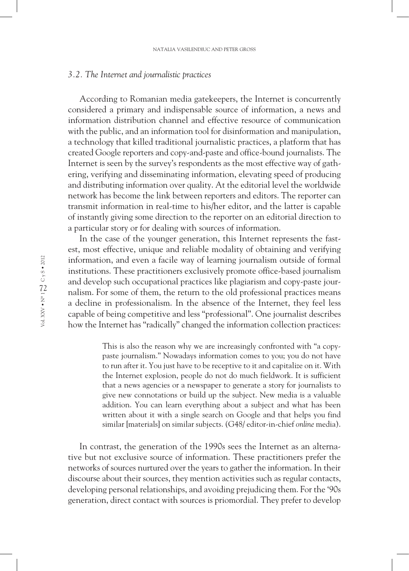#### *3.2. The Internet and journalistic practices*

According to Romanian media gatekeepers, the Internet is concurrently considered a primary and indispensable source of information, a news and information distribution channel and effective resource of communication with the public, and an information tool for disinformation and manipulation, a technology that killed traditional journalistic practices, a platform that has created Google reporters and copy-and-paste and office-bound journalists. The Internet is seen by the survey's respondents as the most effective way of gathering, verifying and disseminating information, elevating speed of producing and distributing information over quality. At the editorial level the worldwide network has become the link between reporters and editors. The reporter can transmit information in real-time to his/her editor, and the latter is capable of instantly giving some direction to the reporter on an editorial direction to a particular story or for dealing with sources of information.

In the case of the younger generation, this Internet represents the fastest, most effective, unique and reliable modality of obtaining and verifying information, and even a facile way of learning journalism outside of formal institutions. These practitioners exclusively promote office-based journalism and develop such occupational practices like plagiarism and copy-paste journalism. For some of them, the return to the old professional practices means a decline in professionalism. In the absence of the Internet, they feel less capable of being competitive and less "professional". One journalist describes how the Internet has "radically" changed the information collection practices:

> This is also the reason why we are increasingly confronted with "a copypaste journalism." Nowadays information comes to you; you do not have to run after it. You just have to be receptive to it and capitalize on it. With the Internet explosion, people do not do much fieldwork. It is sufficient that a news agencies or a newspaper to generate a story for journalists to give new connotations or build up the subject. New media is a valuable addition. You can learn everything about a subject and what has been written about it with a single search on Google and that helps you find similar [materials] on similar subjects. (G48/ editor-in-chief *online* media).

In contrast, the generation of the 1990s sees the Internet as an alternative but not exclusive source of information. These practitioners prefer the networks of sources nurtured over the years to gather the information. In their discourse about their sources, they mention activities such as regular contacts, developing personal relationships, and avoiding prejudicing them. For the '90s generation, direct contact with sources is priomordial. They prefer to develop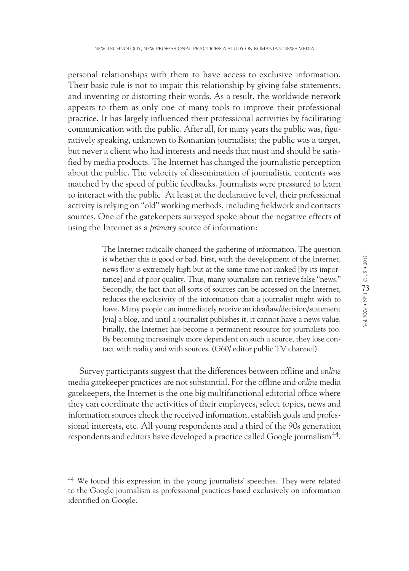personal relationships with them to have access to exclusive information. Their basic rule is not to impair this relationship by giving false statements, and inventing or distorting their words. As a result, the worldwide network appears to them as only one of many tools to improve their professional practice. It has largely influenced their professional activities by facilitating communication with the public. After all, for many years the public was, figuratively speaking, unknown to Romanian journalists; the public was a target, but never a client who had interests and needs that must and should be satisfied by media products. The Internet has changed the journalistic perception about the public. The velocity of dissemination of journalistic contents was matched by the speed of public feedbacks. Journalists were pressured to learn to interact with the public. At least at the declarative level, their professional activity is relying on "old" working methods, including fieldwork and contacts sources. One of the gatekeepers surveyed spoke about the negative effects of using the Internet as a *primary* source of information:

> The Internet radically changed the gathering of information. The question is whether this is good or bad. First, with the development of the Internet, news flow is extremely high but at the same time not ranked [by its importance] and of poor quality. Thus, many journalists can retrieve false "news." Secondly, the fact that all sorts of sources can be accessed on the Internet, reduces the exclusivity of the information that a journalist might wish to have. Many people can immediately receive an idea/law/decision/statement [via] a blog, and until a journalist publishes it, it cannot have a news value. Finally, the Internet has become a permanent resource for journalists too. By becoming increasingly more dependent on such a source, they lose contact with reality and with sources. (G60/ editor public TV channel).

Survey participants suggest that the differences between offline and *online* media gatekeeper practices are not substantial. For the offline and *online* media gatekeepers, the Internet is the one big multifunctional editorial office where they can coordinate the activities of their employees, select topics, news and information sources check the received information, establish goals and professional interests, etc. All young respondents and a third of the 90s generation respondents and editors have developed a practice called Google journalism<sup>44</sup>.

<sup>44</sup> We found this expression in the young journalists' speeches. They were related to the Google journalism as professional practices based exclusively on information identified on Google.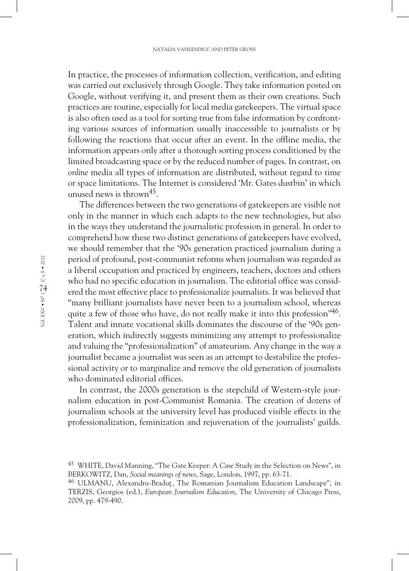In practice, the processes of information collection, verification, and editing was carried out exclusively through Google. They take information posted on Google, without verifying it, and present them as their own creations. Such practices are routine, especially for local media gatekeepers. The virtual space is also often used as a tool for sorting true from false information by confronting various sources of information usually inaccessible to journalists or by following the reactions that occur after an event. In the offline media, the information appears only after a thorough sorting process conditioned by the limited broadcasting space or by the reduced number of pages. In contrast, on *online* media all types of information are distributed, without regard to time or space limitations. The Internet is considered 'Mr. Gates dustbin' in which unused news is thrown<sup>45</sup>.

The differences between the two generations of gatekeepers are visible not only in the manner in which each adapts to the new technologies, but also in the ways they understand the journalistic profession in general. In order to comprehend how these two distinct generations of gatekeepers have evolved, we should remember that the '90s generation practiced journalism during a period of profound, post-communist reforms when journalism was regarded as a liberal occupation and practiced by engineers, teachers, doctors and others who had no specific education in journalism. The editorial office was considered the most effective place to professionalize journalists. It was believed that "many brilliant journalists have never been to a journalism school, whereas quite a few of those who have, do not really make it into this profession"<sup>46</sup>. Talent and innate vocational skills dominates the discourse of the '90s generation, which indirectly suggests minimizing any attempt to professionalize and valuing the "professionalization" of amateurism. Any change in the way a journalist became a journalist was seen as an attempt to destabilize the professional activity or to marginalize and remove the old generation of journalists who dominated editorial offices.

In contrast, the 2000s generation is the stepchild of Western-style journalism education in post-Communist Romania. The creation of dozens of journalism schools at the university level has produced visible effects in the professionalization, feminization and rejuvenation of the journalists' guilds.

<sup>45</sup> WHITE, David Manning, "The Gate Keeper: A Case Study in the Selection on News", in BERKOWITZ, Dan, *Social meanings of news*, Sage, London, 1997, pp. 63-71.

<sup>&</sup>lt;sup>46</sup> ULMANU, Alexandru-Bradut, The Romanian Journalism Education Landscape", in TERZIS, Georgios (ed.), *European Journalism Education*, The University of Chicago Press, 2009, pp. 479-490.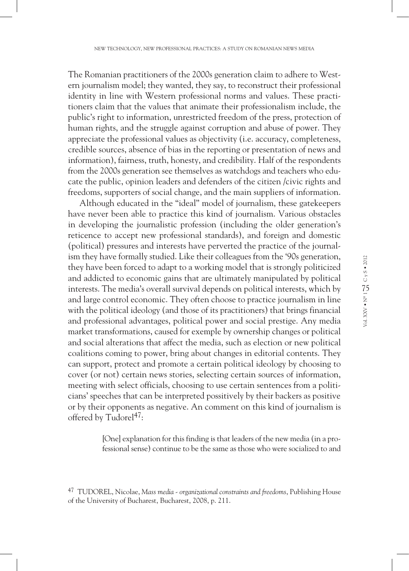The Romanian practitioners of the 2000s generation claim to adhere to Western journalism model; they wanted, they say, to reconstruct their professional identity in line with Western professional norms and values. These practitioners claim that the values that animate their professionalism include, the public's right to information, unrestricted freedom of the press, protection of human rights, and the struggle against corruption and abuse of power. They appreciate the professional values as objectivity (i.e. accuracy, completeness, credible sources, absence of bias in the reporting or presentation of news and information), fairness, truth, honesty, and credibility. Half of the respondents from the 2000s generation see themselves as watchdogs and teachers who educate the public, opinion leaders and defenders of the citizen /civic rights and freedoms, supporters of social change, and the main suppliers of information.

Although educated in the "ideal" model of journalism, these gatekeepers have never been able to practice this kind of journalism. Various obstacles in developing the journalistic profession (including the older generation's reticence to accept new professional standards), and foreign and domestic (political) pressures and interests have perverted the practice of the journalism they have formally studied. Like their colleagues from the '90s generation, they have been forced to adapt to a working model that is strongly politicized and addicted to economic gains that are ultimately manipulated by political interests. The media's overall survival depends on political interests, which by and large control economic. They often choose to practice journalism in line with the political ideology (and those of its practitioners) that brings financial and professional advantages, political power and social prestige. Any media market transformations, caused for exemple by ownership changes or political and social alterations that affect the media, such as election or new political coalitions coming to power, bring about changes in editorial contents. They can support, protect and promote a certain political ideology by choosing to cover (or not) certain news stories, selecting certain sources of information, meeting with select officials, choosing to use certain sentences from a politicians' speeches that can be interpreted possitively by their backers as positive or by their opponents as negative. An comment on this kind of journalism is offered by Tudore $1^{47}$ :

> [One] explanation for this finding is that leaders of the new media (in a professional sense) continue to be the same as those who were socialized to and

<sup>47</sup> TUDOREL, Nicolae, *Mass media - organizational constraints and freedoms*, Publishing House of the University of Bucharest, Bucharest, 2008, p. 211.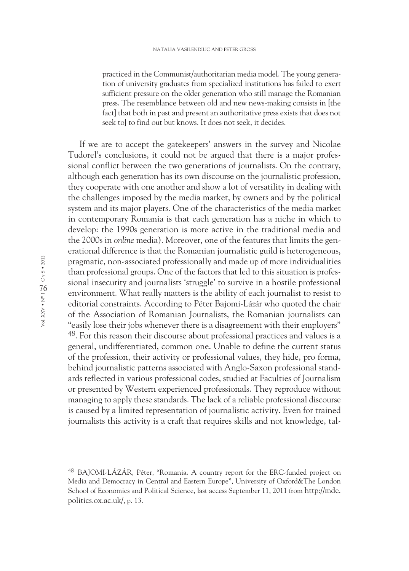practiced in the Communist/authoritarian media model. The young generation of university graduates from specialized institutions has failed to exert sufficient pressure on the older generation who still manage the Romanian press. The resemblance between old and new news-making consists in [the fact] that both in past and present an authoritative press exists that does not seek to] to find out but knows. It does not seek, it decides.

If we are to accept the gatekeepers' answers in the survey and Nicolae Tudorel's conclusions, it could not be argued that there is a major professional conflict between the two generations of journalists. On the contrary, although each generation has its own discourse on the journalistic profession, they cooperate with one another and show a lot of versatility in dealing with the challenges imposed by the media market, by owners and by the political system and its major players. One of the characteristics of the media market in contemporary Romania is that each generation has a niche in which to develop: the 1990s generation is more active in the traditional media and the 2000s in *online* media). Moreover, one of the features that limits the generational difference is that the Romanian journalistic guild is heterogeneous, pragmatic, non-associated professionally and made up of more individualities than professional groups. One of the factors that led to this situation is professional insecurity and journalists 'struggle' to survive in a hostile professional environment. What really matters is the ability of each journalist to resist to editorial constraints. According to Péter Bajomi-Lázár who quoted the chair of the Association of Romanian Journalists, the Romanian journalists can "easily lose their jobs whenever there is a disagreement with their employers" 48. For this reason their discourse about professional practices and values is a general, undifferentiated, common one. Unable to define the current status of the profession, their activity or professional values, they hide, pro forma, behind journalistic patterns associated with Anglo-Saxon professional standards reflected in various professional codes, studied at Faculties of Journalism or presented by Western experienced professionals. They reproduce without managing to apply these standards. The lack of a reliable professional discourse is caused by a limited representation of journalistic activity. Even for trained journalists this activity is a craft that requires skills and not knowledge, tal-

<sup>48</sup> BAJOMI-LÁZÁR, Péter, "Romania. A country report for the ERC-funded project on Media and Democracy in Central and Eastern Europe", University of Oxford&The London School of Economics and Political Science, last access September 11, 2011 from http://mde. politics.ox.ac.uk/, p. 13.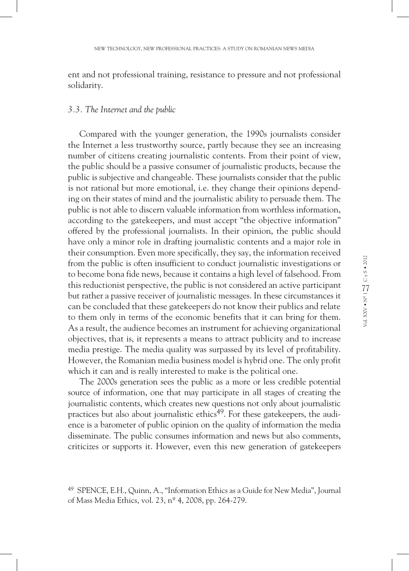ent and not professional training, resistance to pressure and not professional solidarity.

#### *3.3. The Internet and the public*

Compared with the younger generation, the 1990s journalists consider the Internet a less trustworthy source, partly because they see an increasing number of citizens creating journalistic contents. From their point of view, the public should be a passive consumer of journalistic products, because the public is subjective and changeable. These journalists consider that the public is not rational but more emotional, i.e. they change their opinions depending on their states of mind and the journalistic ability to persuade them. The public is not able to discern valuable information from worthless information, according to the gatekeepers, and must accept "the objective information" offered by the professional journalists. In their opinion, the public should have only a minor role in drafting journalistic contents and a major role in their consumption. Even more specifically, they say, the information received from the public is often insufficient to conduct journalistic investigations or to become bona fide news, because it contains a high level of falsehood. From this reductionist perspective, the public is not considered an active participant but rather a passive receiver of journalistic messages. In these circumstances it can be concluded that these gatekeepers do not know their publics and relate to them only in terms of the economic benefits that it can bring for them. As a result, the audience becomes an instrument for achieving organizational objectives, that is, it represents a means to attract publicity and to increase media prestige. The media quality was surpassed by its level of profitability. However, the Romanian media business model is hybrid one. The only profit which it can and is really interested to make is the political one.

The 2000s generation sees the public as a more or less credible potential source of information, one that may participate in all stages of creating the journalistic contents, which creates new questions not only about journalistic practices but also about journalistic ethics<sup>49</sup>. For these gatekeepers, the audience is a barometer of public opinion on the quality of information the media disseminate. The public consumes information and news but also comments, criticizes or supports it. However, even this new generation of gatekeepers

<sup>49</sup> SPENCE, E.H., Quinn, A., "Information Ethics as a Guide for New Media", Journal of Mass Media Ethics, vol. 23, nº 4, 2008, pp. 264-279.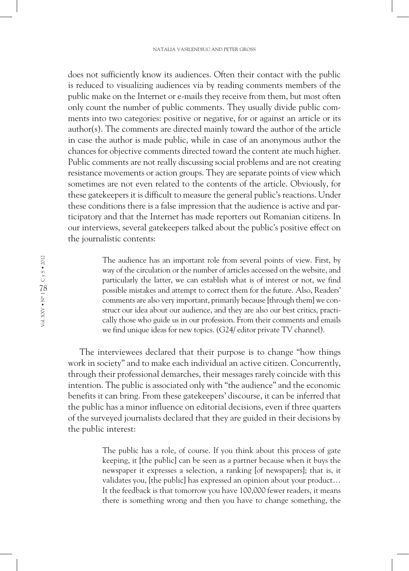does not sufficiently know its audiences. Often their contact with the public is reduced to visualizing audiences via by reading comments members of the public make on the Internet or e-mails they receive from them, but most often only count the number of public comments. They usually divide public comments into two categories: positive or negative, for or against an article or its author(s). The comments are directed mainly toward the author of the article in case the author is made public, while in case of an anonymous author the chances for objective comments directed toward the content ate much higher. Public comments are not really discussing social problems and are not creating resistance movements or action groups. They are separate points of view which sometimes are not even related to the contents of the article. Obviously, for these gatekeepers it is difficult to measure the general public's reactions. Under these conditions there is a false impression that the audience is active and participatory and that the Internet has made reporters out Romanian citizens. In our interviews, several gatekeepers talked about the public's positive effect on the journalistic contents:

> The audience has an important role from several points of view. First, by way of the circulation or the number of articles accessed on the website, and particularly the latter, we can establish what is of interest or not, we find possible mistakes and attempt to correct them for the future. Also, Readers' comments are also very important, primarily because [through them] we construct our idea about our audience, and they are also our best critics, practically those who guide us in our profession. From their comments and emails we find unique ideas for new topics. (G24/ editor private TV channel).

The interviewees declared that their purpose is to change "how things work in society" and to make each individual an active citizen. Concurrently, through their professional demarches, their messages rarely coincide with this intention. The public is associated only with "the audience" and the economic benefits it can bring. From these gatekeepers' discourse, it can be inferred that the public has a minor influence on editorial decisions, even if three quarters of the surveyed journalists declared that they are guided in their decisions by the public interest:

> The public has a role, of course. If you think about this process of gate keeping, it [the public] can be seen as a partner because when it buys the newspaper it expresses a selection, a ranking [of newspapers]; that is, it validates you, [the public] has expressed an opinion about your product… It the feedback is that tomorrow you have 100,000 fewer readers, it means there is something wrong and then you have to change something, the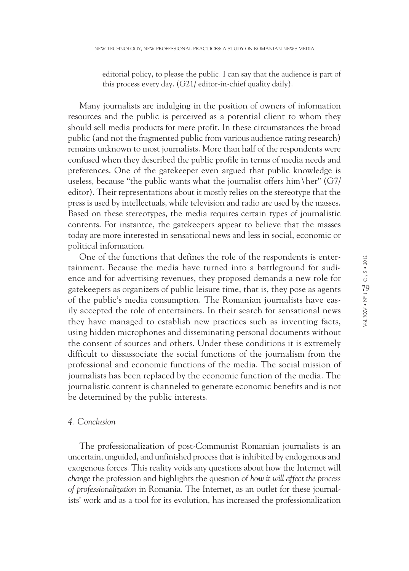editorial policy, to please the public. I can say that the audience is part of this process every day. (G21/ editor-in-chief quality daily).

Many journalists are indulging in the position of owners of information resources and the public is perceived as a potential client to whom they should sell media products for mere profit. In these circumstances the broad public (and not the fragmented public from various audience rating research) remains unknown to most journalists. More than half of the respondents were confused when they described the public profile in terms of media needs and preferences. One of the gatekeeper even argued that public knowledge is useless, because "the public wants what the journalist offers him \her"  $(G7/$ editor). Their representations about it mostly relies on the stereotype that the press is used by intellectuals, while television and radio are used by the masses. Based on these stereotypes, the media requires certain types of journalistic contents. For instantce, the gatekeepers appear to believe that the masses today are more interested in sensational news and less in social, economic or political information.

One of the functions that defines the role of the respondents is entertainment. Because the media have turned into a battleground for audience and for advertising revenues, they proposed demands a new role for gatekeepers as organizers of public leisure time, that is, they pose as agents of the public's media consumption. The Romanian journalists have easily accepted the role of entertainers. In their search for sensational news they have managed to establish new practices such as inventing facts, using hidden microphones and disseminating personal documents without the consent of sources and others. Under these conditions it is extremely difficult to dissassociate the social functions of the journalism from the professional and economic functions of the media. The social mission of journalists has been replaced by the economic function of the media. The journalistic content is channeled to generate economic benefits and is not be determined by the public interests.

#### *4. Conclusion*

The professionalization of post-Communist Romanian journalists is an uncertain, unguided, and unfinished process that is inhibited by endogenous and exogenous forces. This reality voids any questions about how the Internet will *change* the profession and highlights the question of *how it will affect the process of professionalization* in Romania. The Internet, as an outlet for these journalists' work and as a tool for its evolution, has increased the professionalization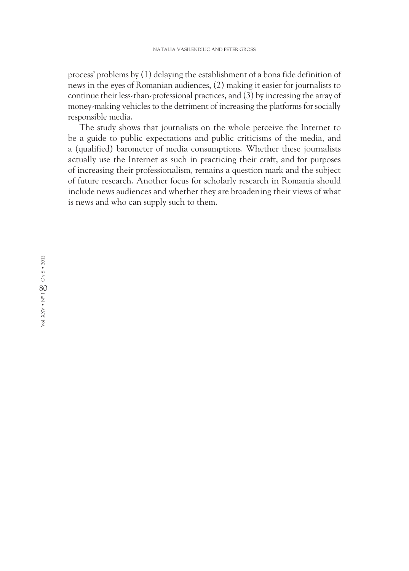process' problems by (1) delaying the establishment of a bona fide definition of news in the eyes of Romanian audiences, (2) making it easier for journalists to continue their less-than-professional practices, and (3) by increasing the array of money-making vehicles to the detriment of increasing the platforms for socially responsible media.

The study shows that journalists on the whole perceive the Internet to be a guide to public expectations and public criticisms of the media, and a (qualified) barometer of media consumptions. Whether these journalists actually use the Internet as such in practicing their craft, and for purposes of increasing their professionalism, remains a question mark and the subject of future research. Another focus for scholarly research in Romania should include news audiences and whether they are broadening their views of what is news and who can supply such to them.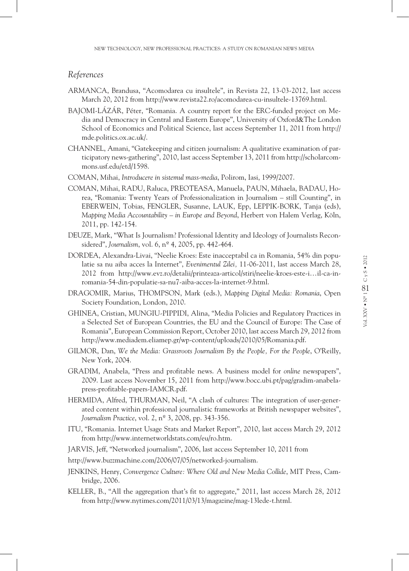#### *References*

- ARMANCA, Brandusa, "Acomodarea cu insultele", in Revista 22, 13-03-2012, last access March 20, 2012 from http://www.revista22.ro/acomodarea-cu-insultele-13769.html.
- BAJOMI-LÁZÁR, Péter, "Romania. A country report for the ERC-funded project on Media and Democracy in Central and Eastern Europe", University of Oxford&The London School of Economics and Political Science, last access September 11, 2011 from http:// mde.politics.ox.ac.uk/.
- CHANNEL, Amani, "Gatekeeping and citizen journalism: A qualitative examination of participatory news-gathering", 2010, last access September 13, 2011 from http://scholarcommons.usf.edu/etd/1598.
- COMAN, Mihai, *Introducere in sistemul mass-media*, Polirom, Iasi, 1999/2007.
- COMAN, Mihai, RADU, Raluca, PREOTEASA, Manuela, PAUN, Mihaela, BADAU, Horea, "Romania: Twenty Years of Professionalization in Journalism – still Counting", in EBERWEIN, Tobias, FENGLER, Susanne, LAUK, Epp, LEPPIK-BORK, Tanja (eds), *Mapping Media Accountability – in Europe and Beyond*, Herbert von Halem Verlag, Köln, 2011, pp. 142-154.
- DEUZE, Mark, "What Is Journalism? Professional Identity and Ideology of Journalists Reconsidered", *Journalism*, vol. 6, nº 4, 2005, pp. 442-464.
- DORDEA, Alexandra-Livai, "Neelie Kroes: Este inacceptabil ca in Romania, 54% din populatie sa nu aiba acces la Internet", *Evenimentul Zilei,* 11-06-2011, last access March 28, 2012 from http://www.evz.ro/detalii/printeaza-articol/stiri/neelie-kroes-este-i…il-ca-inromania-54-din-populatie-sa-nu7-aiba-acces-la-internet-9.html.
- DRAGOMIR, Marius, THOMPSON, Mark (eds.), *Mapping Digital Media: Romania*, Open Society Foundation, London, 2010.
- GHINEA, Cristian, MUNGIU-PIPPIDI, Alina, "Media Policies and Regulatory Practices in a Selected Set of European Countries, the EU and the Council of Europe: The Case of Romania", European Commission Report, October 2010, last access March 29, 2012 from http://www.mediadem.eliamep.gr/wp-content/uploads/2010/05/Romania.pdf.
- GILMOR, Dan, *We the Media: Grassroots Journalism By the People, For the People*, O'Reilly, New York, 2004.
- GRADIM, Anabela, "Press and profitable news. A business model for *online* newspapers", 2009. Last access November 15, 2011 from http://www.bocc.ubi.pt/pag/gradim-anabelapress-profitable-papers-IAMCR.pdf.
- HERMIDA, Alfred, THURMAN, Neil, "A clash of cultures: The integration of user-generated content within professional journalistic frameworks at British newspaper websites", *Journalism Practice*, vol. 2, nº 3, 2008, pp. 343-356.
- ITU, "Romania. Internet Usage Stats and Market Report", 2010, last access March 29, 2012 from http://www.internetworldstats.com/eu/ro.htm.
- JARVIS, Jeff, "Networked journalism", 2006, last access September 10, 2011 from
- http://www.buzzmachine.com/2006/07/05/networked-journalism.
- JENKINS, Henry, *Convergence Culture: Where Old and New Media Collide*, MIT Press, Cambridge, 2006.
- KELLER, B., "All the aggregation that's fit to aggregate," 2011, last access March 28, 2012 from http://www.nytimes.com/2011/03/13/magazine/mag-13lede-t.html.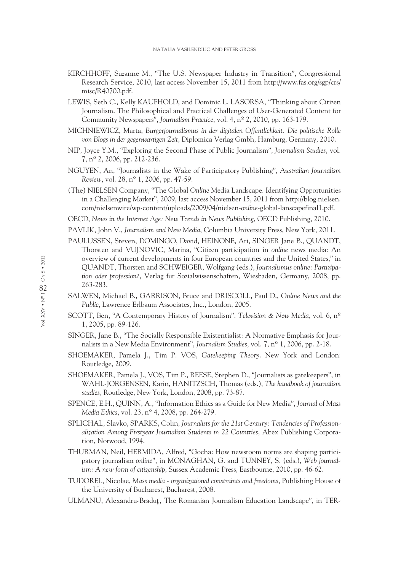- KIRCHHOFF, Suzanne M., "The U.S. Newspaper Industry in Transition", Congressional Research Service, 2010, last access November 15, 2011 from http://www.fas.org/sgp/crs/ misc/R40700.pdf.
- LEWIS, Seth C., Kelly KAUFHOLD, and Dominic L. LASORSA, "Thinking about Citizen Journalism. The Philosophical and Practical Challenges of User-Generated Content for Community Newspapers", *Journalism Practice*, vol. 4, nº 2, 2010, pp. 163-179.
- MICHNIEWICZ, Marta, *Burgerjournalismus in der digitalen Offentlichkeit. Die politische Rolle von Blogs in der gegenwartigen Zeit*, Diplomica Verlag Gmbh, Hamburg, Germany, 2010.
- NIP, Joyce Y.M., "Exploring the Second Phase of Public Journalism", *Journalism Studies*, vol. 7, nº 2, 2006, pp. 212-236.
- NGUYEN, An, "Journalists in the Wake of Participatory Publishing", *Australian Journalism Review*, vol. 28, nº 1, 2006, pp. 47-59.
- (The) NIELSEN Company, "The Global *Online* Media Landscape. Identifying Opportunities in a Challenging Market", 2009, last access November 15, 2011 from http://blog.nielsen. com/nielsenwire/wp-content/uploads/2009/04/nielsen-*online*-global-lanscapefinal1.pdf.
- OECD, *News in the Internet Age: New Trends in News Publishing*, OECD Publishing, 2010.
- PAVLIK, John V., *Journalism and New Media*, Columbia University Press, New York, 2011.
- PAULUSSEN, Steven, DOMINGO, David, HEINONE, Ari, SINGER Jane B., QUANDT, Thorsten and VUJNOVIC, Marina, "Citizen participation in *online* news media: An overview of current developments in four European countries and the United States," in QUANDT, Thorsten and SCHWEIGER, Wolfgang (eds.), *Journalismus online: Partizipation oder profession?*, Verlag fur Sozialwissenschaften, Wiesbaden, Germany, 2008, pp. 263-283.
- SALWEN, Michael B., GARRISON, Bruce and DRISCOLL, Paul D., *Online News and the Public*, Lawrence Erlbaum Associates, Inc., London, 2005.
- SCOTT, Ben, "A Contemporary History of Journalism". *Television & New Media*, vol. 6, nº 1, 2005, pp. 89-126.
- SINGER, Jane B., "The Socially Responsible Existentialist: A Normative Emphasis for Journalists in a New Media Environment", *Journalism Studies*, vol. 7, nº 1, 2006, pp. 2-18.
- SHOEMAKER, Pamela J., Tim P. VOS, *Gatekeeping Theory*. New York and London: Routledge, 2009.
- SHOEMAKER, Pamela J., VOS, Tim P., REESE, Stephen D., "Journalists as gatekeepers", in WAHL-JORGENSEN, Karin, HANITZSCH, Thomas (eds.), *The handbook of journalism studies*, Routledge, New York, London, 2008, pp. 73-87.
- SPENCE*,* E.H., QUINN, A., "Information Ethics as a Guide for New Media", *Journal* of *Mass Media Ethics*, vol. 23, nº 4, 2008, pp. 264-279.
- SPLICHAL, Slavko, SPARKS, Colin, *Journalists for the 21st Century: Tendencies of Professionalization Among Firstyear Journalism Students in 22 Countries*, Abex Publishing Corporation, Norwood, 1994.
- THURMAN, Neil, HERMIDA, Alfred, "Gocha: How newsroom norms are shaping participatory journalism *online*", in MONAGHAN, G. and TUNNEY, S. (eds.), *Web journalism: A new form of citizenship*, Sussex Academic Press, Eastbourne, 2010, pp. 46-62.
- TUDOREL, Nicolae, *Mass media organizational constraints and freedoms*, Publishing House of the University of Bucharest, Bucharest, 2008.
- ULMANU, Alexandru-Bradut, The Romanian Journalism Education Landscape", in TER-